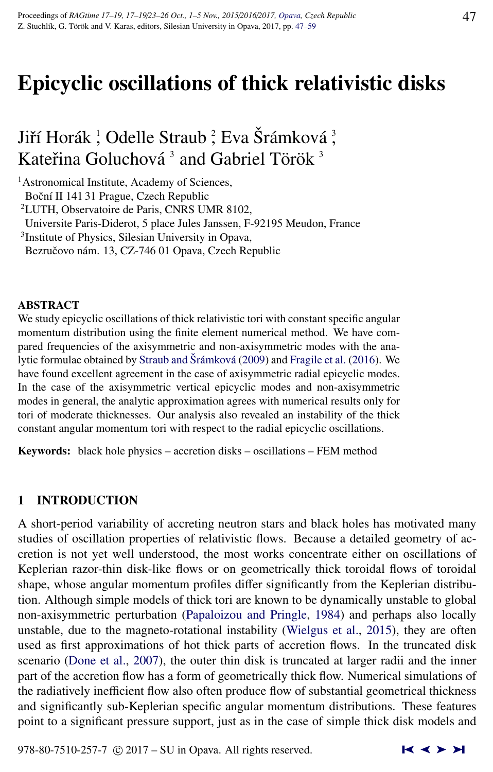# Epicyclic oscillations of thick relativistic disks

## Jiří Horák <sup>¦</sup> Odelle Straub <sup>?</sup>, Eva Šrámková <sup>3</sup>, Kateřina Goluchová $^3$  and Gabriel Török $^3$

<sup>1</sup> Astronomical Institute, Academy of Sciences,

Boční II 141 31 Prague, Czech Republic

<sup>2</sup>LUTH, Observatoire de Paris, CNRS UMR 8102,

Universite Paris-Diderot, 5 place Jules Janssen, F-92195 Meudon, France

3 Institute of Physics, Silesian University in Opava,

Bezručovo nám. 13, CZ-746 01 Opava, Czech Republic

#### ABSTRACT

We study epicyclic oscillations of thick relativistic tori with constant specific angular momentum distribution using the finite element numerical method. We have compared frequencies of the axisymmetric and non-axisymmetric modes with the ana-lytic formulae obtained by [Straub and](#page-12-0) Šrámková [\(2009\)](#page-12-0) and [Fragile et al.](#page-12-0) [\(2016\)](#page-12-0). We have found excellent agreement in the case of axisymmetric radial epicyclic modes. In the case of the axisymmetric vertical epicyclic modes and non-axisymmetric modes in general, the analytic approximation agrees with numerical results only for tori of moderate thicknesses. Our analysis also revealed an instability of the thick constant angular momentum tori with respect to the radial epicyclic oscillations.

Keywords: black hole physics – accretion disks – oscillations – FEM method

## 1 INTRODUCTION

A short-period variability of accreting neutron stars and black holes has motivated many studies of oscillation properties of relativistic flows. Because a detailed geometry of accretion is not yet well understood, the most works concentrate either on oscillations of Keplerian razor-thin disk-like flows or on geometrically thick toroidal flows of toroidal shape, whose angular momentum profiles differ significantly from the Keplerian distribution. Although simple models of thick tori are known to be dynamically unstable to global non-axisymmetric perturbation [\(Papaloizou and Pringle,](#page-12-0) [1984\)](#page-12-0) and perhaps also locally unstable, due to the magneto-rotational instability [\(Wielgus et al.,](#page-12-0) [2015\)](#page-12-0), they are often used as first approximations of hot thick parts of accretion flows. In the truncated disk scenario [\(Done et al.,](#page-12-0) [2007\)](#page-12-0), the outer thin disk is truncated at larger radii and the inner part of the accretion flow has a form of geometrically thick flow. Numerical simulations of the radiatively inefficient flow also often produce flow of substantial geometrical thickness and significantly sub-Keplerian specific angular momentum distributions. These features point to a significant pressure support, just as in the case of simple thick disk models and

978-80-7510-257-7  $\odot$  2017 – SU in Opava. All rights reserved.  $\blacksquare \blacktriangle \blacktriangleright \blacktriangleright \blacksquare$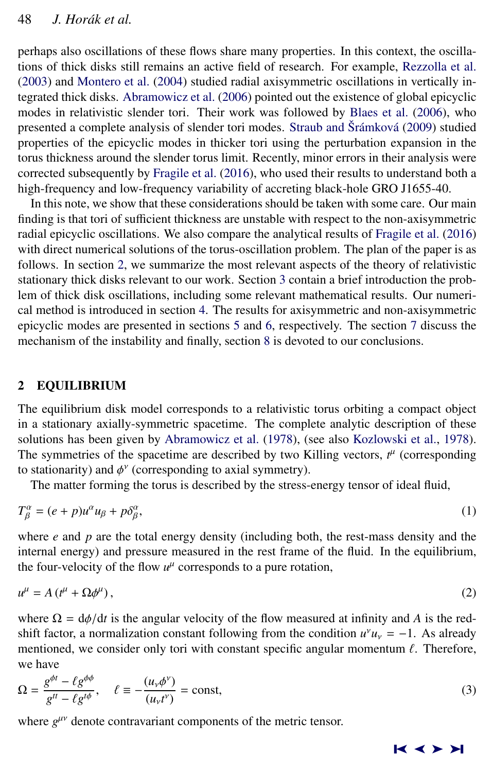perhaps also oscillations of these flows share many properties. In this context, the oscillations of thick disks still remains an active field of research. For example, [Rezzolla et al.](#page-12-0) [\(2003\)](#page-12-0) and [Montero et al.](#page-12-0) [\(2004\)](#page-12-0) studied radial axisymmetric oscillations in vertically integrated thick disks. [Abramowicz et al.](#page-12-0) [\(2006\)](#page-12-0) pointed out the existence of global epicyclic modes in relativistic slender tori. Their work was followed by [Blaes et al.](#page-12-0) [\(2006\)](#page-12-0), who presented a complete analysis of slender tori modes. [Straub and](#page-12-0) Šrámková [\(2009\)](#page-12-0) studied properties of the epicyclic modes in thicker tori using the perturbation expansion in the torus thickness around the slender torus limit. Recently, minor errors in their analysis were corrected subsequently by [Fragile et al.](#page-12-0) [\(2016\)](#page-12-0), who used their results to understand both a high-frequency and low-frequency variability of accreting black-hole GRO J1655-40.

In this note, we show that these considerations should be taken with some care. Our main finding is that tori of sufficient thickness are unstable with respect to the non-axisymmetric radial epicyclic oscillations. We also compare the analytical results of [Fragile et al.](#page-12-0) [\(2016\)](#page-12-0) with direct numerical solutions of the torus-oscillation problem. The plan of the paper is as follows. In section 2, we summarize the most relevant aspects of the theory of relativistic stationary thick disks relevant to our work. Section [3](#page-3-0) contain a brief introduction the problem of thick disk oscillations, including some relevant mathematical results. Our numerical method is introduced in section [4.](#page-5-0) The results for axisymmetric and non-axisymmetric epicyclic modes are presented in sections [5](#page-6-0) and [6,](#page-6-0) respectively. The section [7](#page-10-0) discuss the mechanism of the instability and finally, section [8](#page-11-0) is devoted to our conclusions.

## 2 EQUILIBRIUM

The equilibrium disk model corresponds to a relativistic torus orbiting a compact object in a stationary axially-symmetric spacetime. The complete analytic description of these solutions has been given by [Abramowicz et al.](#page-12-0) [\(1978\)](#page-12-0), (see also [Kozlowski et al.,](#page-12-0) [1978\)](#page-12-0). The symmetries of the spacetime are described by two Killing vectors,  $t^{\mu}$  (corresponding to stationarity) and  $\phi^{\gamma}$  (corresponding to axial symmetry).<br>The matter forming the torus is described by the stress.

The matter forming the torus is described by the stress-energy tensor of ideal fluid,

$$
T_{\beta}^{\alpha} = (e+p)u^{\alpha}u_{\beta} + p\delta_{\beta}^{\alpha},\tag{1}
$$

where *e* and *p* are the total energy density (including both, the rest-mass density and the internal energy) and pressure measured in the rest frame of the fluid. In the equilibrium, the four-velocity of the flow  $u^{\mu}$  corresponds to a pure rotation,

$$
u^{\mu} = A(t^{\mu} + \Omega \phi^{\mu}), \qquad (2)
$$

where  $\Omega = d\phi/dt$  is the angular velocity of the flow measured at infinity and A is the redshift factor, a normalization constant following from the condition  $u^{\gamma}u_{\gamma} = -1$ . As already mentioned, we consider only tori with constant specific angular momentum  $\ell$ . Therefore, we have

$$
\Omega = \frac{g^{\phi t} - \ell g^{\phi \phi}}{g^{tt} - \ell g^{t\phi}}, \quad \ell \equiv -\frac{(u_{\nu}\phi^{\nu})}{(u_{\nu}t^{\nu})} = \text{const},\tag{3}
$$

where  $g^{\mu\nu}$  denote contravariant components of the metric tensor.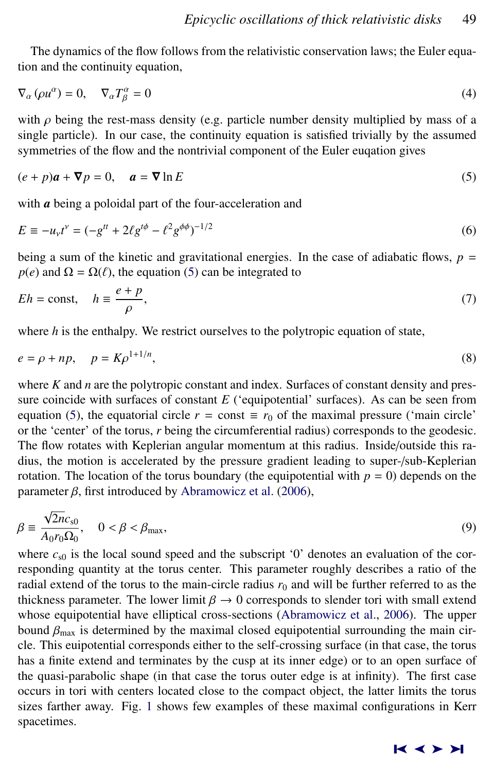The dynamics of the flow follows from the relativistic conservation laws; the Euler equation and the continuity equation,

$$
\nabla_{\alpha} (\rho u^{\alpha}) = 0, \quad \nabla_{\alpha} T_{\beta}^{\alpha} = 0 \tag{4}
$$

with  $\rho$  being the rest-mass density (e.g. particle number density multiplied by mass of a single particle). In our case, the continuity equation is satisfied trivially by the assumed symmetries of the flow and the nontrivial component of the Euler euqation gives

$$
(e+p)a + \nabla p = 0, \quad a = \nabla \ln E \tag{5}
$$

with *a* being a poloidal part of the four-acceleration and

$$
E \equiv -u_{\nu}t^{\nu} = (-g^{tt} + 2\ell g^{t\phi} - \ell^2 g^{\phi\phi})^{-1/2}
$$
 (6)

being a sum of the kinetic and gravitational energies. In the case of adiabatic flows,  $p =$  $p(e)$  and  $\Omega = \Omega(\ell)$ , the equation (5) can be integrated to

$$
Eh = \text{const}, \quad h \equiv \frac{e + p}{\rho}, \tag{7}
$$

where *h* is the enthalpy. We restrict ourselves to the polytropic equation of state,

$$
e = \rho + np, \quad p = K\rho^{1+1/n},\tag{8}
$$

where *K* and *n* are the polytropic constant and index. Surfaces of constant density and pressure coincide with surfaces of constant *E* ('equipotential' surfaces). As can be seen from equation (5), the equatorial circle  $r =$  const  $\equiv r_0$  of the maximal pressure ('main circle' or the 'center' of the torus, *r* being the circumferential radius) corresponds to the geodesic. The flow rotates with Keplerian angular momentum at this radius. Inside/outside this radius, the motion is accelerated by the pressure gradient leading to super-/sub-Keplerian rotation. The location of the torus boundary (the equipotential with  $p = 0$ ) depends on the parameter  $\beta$ , first introduced by [Abramowicz et al.](#page-12-0) [\(2006\)](#page-12-0),

$$
\beta \equiv \frac{\sqrt{2n}c_{s0}}{A_0r_0\Omega_0}, \quad 0 < \beta < \beta_{\text{max}},\tag{9}
$$

where  $c_{s0}$  is the local sound speed and the subscript '0' denotes an evaluation of the corresponding quantity at the torus center. This parameter roughly describes a ratio of the radial extend of the torus to the main-circle radius  $r_0$  and will be further referred to as the thickness parameter. The lower limit  $\beta \to 0$  corresponds to slender tori with small extend whose equipotential have elliptical cross-sections [\(Abramowicz et al.,](#page-12-0) [2006\)](#page-12-0). The upper bound  $\beta_{\text{max}}$  is determined by the maximal closed equipotential surrounding the main circle. This euipotential corresponds either to the self-crossing surface (in that case, the torus has a finite extend and terminates by the cusp at its inner edge) or to an open surface of the quasi-parabolic shape (in that case the torus outer edge is at infinity). The first case occurs in tori with centers located close to the compact object, the latter limits the torus sizes farther away. Fig. [1](#page-3-0) shows few examples of these maximal configurations in Kerr spacetimes.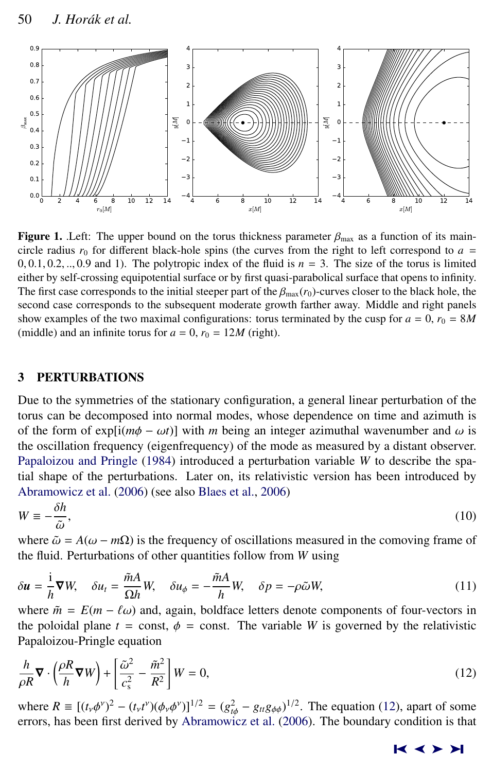<span id="page-3-0"></span>

**Figure 1.** .Left: The upper bound on the torus thickness parameter  $\beta_{\text{max}}$  as a function of its maincircle radius  $r_0$  for different black-hole spins (the curves from the right to left correspond to  $a =$  $0, 0.1, 0.2, \ldots, 0.9$  and 1). The polytropic index of the fluid is  $n = 3$ . The size of the torus is limited either by self-crossing equipotential surface or by first quasi-parabolical surface that opens to infinity. The first case corresponds to the initial steeper part of the  $\beta_{\text{max}}(r_0)$ -curves closer to the black hole, the second case corresponds to the subsequent moderate growth farther away. Middle and right panels show examples of the two maximal configurations: torus terminated by the cusp for  $a = 0$ ,  $r_0 = 8M$ (middle) and an infinite torus for  $a = 0$ ,  $r_0 = 12M$  (right).

## 3 PERTURBATIONS

Due to the symmetries of the stationary configuration, a general linear perturbation of the torus can be decomposed into normal modes, whose dependence on time and azimuth is of the form of  $exp[i(m\phi - \omega t)]$  with *m* being an integer azimuthal wavenumber and  $\omega$  is the oscillation frequency (eigenfrequency) of the mode as measured by a distant observer. [Papaloizou and Pringle](#page-12-0) [\(1984\)](#page-12-0) introduced a perturbation variable *W* to describe the spatial shape of the perturbations. Later on, its relativistic version has been introduced by [Abramowicz et al.](#page-12-0) [\(2006\)](#page-12-0) (see also [Blaes et al.,](#page-12-0) [2006\)](#page-12-0)

$$
W \equiv -\frac{\delta h}{\tilde{\omega}},\tag{10}
$$
 where  $\tilde{\omega} = A(\omega - m\Omega)$  is the frequency of oscillations measured in the comoving frame of

where  $\tilde{\omega} = A(\omega - m\Omega)$  is the frequency of oscillations measured in the comoving frame of the fluid. Perturbations of other quantities follow from W using the fluid. Perturbations of other quantities follow from *W* using

$$
\delta u = \frac{\mathrm{i}}{h} \nabla W, \quad \delta u_t = \frac{\tilde{m}A}{\Omega h} W, \quad \delta u_\phi = -\frac{\tilde{m}A}{h} W, \quad \delta p = -\rho \tilde{\omega} W,\tag{11}
$$

where  $\tilde{m} = E(m - \ell \omega)$  and, again, boldface letters denote components of four-vectors in the poloidal plane  $t =$  const,  $\phi =$  const. The variable *W* is governed by the relativistic Papaloizou-Pringle equation

$$
\frac{h}{\rho R} \nabla \cdot \left(\frac{\rho R}{h} \nabla W\right) + \left[\frac{\tilde{\omega}^2}{c_s^2} - \frac{\tilde{m}^2}{R^2}\right] W = 0,
$$
\n(12)

where  $R = [(t_y \phi^y)^2 - (t_y t^y)(\phi_y \phi^y)]^{1/2} = (g_{t\phi}^2 - g_{tt}g_{\phi\phi})^{1/2}$ . The equation (12), apart of some errors has been first derived by Abramowicz et al. (2006). The boundary condition is that errors, has been first derived by [Abramowicz et al.](#page-12-0) [\(2006\)](#page-12-0). The boundary condition is that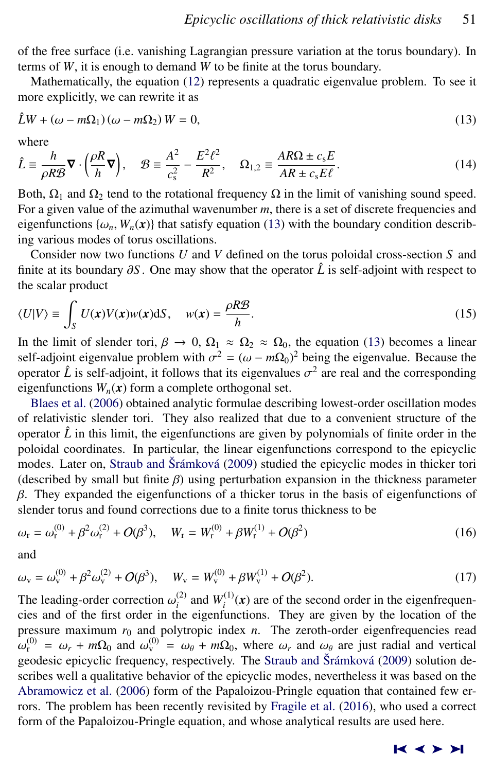<span id="page-4-0"></span>of the free surface (i.e. vanishing Lagrangian pressure variation at the torus boundary). In terms of *W*, it is enough to demand *W* to be finite at the torus boundary.

Mathematically, the equation [\(12\)](#page-3-0) represents a quadratic eigenvalue problem. To see it more explicitly, we can rewrite it as

$$
\hat{L}W + (\omega - m\Omega_1)(\omega - m\Omega_2)W = 0,
$$
\n(13)

where

$$
\hat{L} \equiv \frac{h}{\rho R \mathcal{B}} \nabla \cdot \left(\frac{\rho R}{h} \nabla\right), \quad \mathcal{B} \equiv \frac{A^2}{c_s^2} - \frac{E^2 \ell^2}{R^2}, \quad \Omega_{1,2} \equiv \frac{AR\Omega \pm c_s E}{AR \pm c_s E\ell}.
$$
\n(14)

Both,  $\Omega_1$  and  $\Omega_2$  tend to the rotational frequency  $\Omega$  in the limit of vanishing sound speed. For a given value of the azimuthal wavenumber *m*, there is a set of discrete frequencies and eigenfunctions  $\{\omega_n, W_n(\mathbf{x})\}$  that satisfy equation (13) with the boundary condition describing various modes of torus oscillations.

Consider now two functions *U* and *V* defined on the torus poloidal cross-section *S* and finite at its boundary <sup>∂</sup>*<sup>S</sup>* . One may show that the operator *<sup>L</sup>*<sup>ˆ</sup> is self-adjoint with respect to the scalar product

$$
\langle U|V\rangle \equiv \int_{S} U(\mathbf{x})V(\mathbf{x})w(\mathbf{x})dS, \quad w(\mathbf{x}) = \frac{\rho R \mathcal{B}}{h}.
$$
 (15)

In the limit of slender tori,  $\beta \to 0$ ,  $\Omega_1 \approx \Omega_2 \approx \Omega_0$ , the equation (13) becomes a linear self-adjoint eigenvalue problem with  $\sigma^2 = (\omega - m\Omega_0)^2$  being the eigenvalue. Because the corresponding operator  $\hat{L}$  is self-adjoint, it follows that its eigenvalues  $\sigma^2$  are real and the corresponding eigenfunctions  $W(\mathbf{r})$  form a complete orthogonal set eigenfunctions  $W_n(x)$  form a complete orthogonal set.

[Blaes et al.](#page-12-0) [\(2006\)](#page-12-0) obtained analytic formulae describing lowest-order oscillation modes of relativistic slender tori. They also realized that due to a convenient structure of the operator  $\hat{L}$  in this limit, the eigenfunctions are given by polynomials of finite order in the poloidal coordinates. In particular, the linear eigenfunctions correspond to the epicyclic modes. Later on, [Straub and](#page-12-0) Šrámková [\(2009\)](#page-12-0) studied the epicyclic modes in thicker tori (described by small but finite  $\beta$ ) using perturbation expansion in the thickness parameter  $β$ . They expanded the eigenfunctions of a thicker torus in the basis of eigenfunctions of slender torus and found corrections due to a finite torus thickness to be

$$
\omega_{\rm r} = \omega_{\rm r}^{(0)} + \beta^2 \omega_{\rm r}^{(2)} + O(\beta^3), \quad W_{\rm r} = W_{\rm r}^{(0)} + \beta W_{\rm r}^{(1)} + O(\beta^2)
$$
\n(16)

and

$$
\omega_{\rm v} = \omega_{\rm v}^{(0)} + \beta^2 \omega_{\rm v}^{(2)} + O(\beta^3), \quad W_{\rm v} = W_{\rm v}^{(0)} + \beta W_{\rm v}^{(1)} + O(\beta^2). \tag{17}
$$

The leading-order correction  $\omega_i^{(2)}$  and  $W_i^{(1)}(x)$  are of the second order in the eigenfrequencies and of the first order in the eigenfunctions. They are given by the location of the cies and of the first order in the eigenfunctions. They are given by the location of the pressure maximum  $r_0$  and polytropic index *n*. The zeroth-order eigenfrequencies read  $\omega_r^{(0)} = \omega_r + m\Omega_0$  and  $\omega_\theta^{(0)} = \omega_\theta + m\Omega_0$ , where  $\omega_r$  and  $\omega_\theta$  are just radial and vertical geodesic enjoyclic frequency respe geodesic epicyclic frequency, respectively. The [Straub and](#page-12-0) Šrámková [\(2009\)](#page-12-0) solution describes well a qualitative behavior of the epicyclic modes, nevertheless it was based on the [Abramowicz et al.](#page-12-0) [\(2006\)](#page-12-0) form of the Papaloizou-Pringle equation that contained few errors. The problem has been recently revisited by [Fragile et al.](#page-12-0) [\(2016\)](#page-12-0), who used a correct form of the Papaloizou-Pringle equation, and whose analytical results are used here.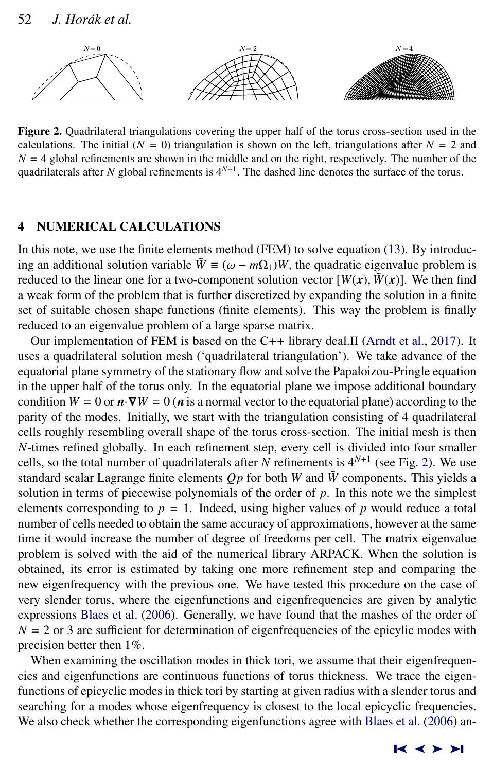<span id="page-5-0"></span>

Figure 2. Quadrilateral triangulations covering the upper half of the torus cross-section used in the calculations. The initial  $(N = 0)$  triangulation is shown on the left, triangulations after  $N = 2$  and  $N = 4$  global refinements are shown in the middle and on the right, respectively. The number of the quadrilaterals after *N* global refinements is 4*<sup>N</sup>*+<sup>1</sup> . The dashed line denotes the surface of the torus.

## 4 NUMERICAL CALCULATIONS

In this note, we use the finite elements method (FEM) to solve equation [\(13\)](#page-4-0). By introducing an additional solution variable  $\tilde{W} \equiv (\omega - m\Omega_1)W$ , the quadratic eigenvalue problem is reduced to the linear one for a two-component solution vector  $[W(x), \tilde{W}(x)]$ . We then find a weak form of the problem that is further discretized by expanding the solution in a finite set of suitable chosen shape functions (finite elements). This way the problem is finally reduced to an eigenvalue problem of a large sparse matrix.

Our implementation of FEM is based on the C++ library deal.II [\(Arndt et al.,](#page-12-0) [2017\)](#page-12-0). It uses a quadrilateral solution mesh ('quadrilateral triangulation'). We take advance of the equatorial plane symmetry of the stationary flow and solve the Papaloizou-Pringle equation in the upper half of the torus only. In the equatorial plane we impose additional boundary condition  $W = 0$  or  $\mathbf{n} \cdot \nabla W = 0$  ( $\mathbf{n}$  is a normal vector to the equatorial plane) according to the parity of the modes. Initially, we start with the triangulation consisting of 4 quadrilateral cells roughly resembling overall shape of the torus cross-section. The initial mesh is then *N*-times refined globally. In each refinement step, every cell is divided into four smaller cells, so the total number of quadrilaterals after *N* refinements is  $4^{N+1}$  (see Fig. 2). We use standard scalar Lagrange finite elements  $Op$  for both  $W$  and  $\tilde{W}$  components. This yields a solution in terms of piecewise polynomials of the order of *p*. In this note we the simplest elements corresponding to  $p = 1$ . Indeed, using higher values of p would reduce a total number of cells needed to obtain the same accuracy of approximations, however at the same time it would increase the number of degree of freedoms per cell. The matrix eigenvalue problem is solved with the aid of the numerical library ARPACK. When the solution is obtained, its error is estimated by taking one more refinement step and comparing the new eigenfrequency with the previous one. We have tested this procedure on the case of very slender torus, where the eigenfunctions and eigenfrequencies are given by analytic expressions [Blaes et al.](#page-12-0) [\(2006\)](#page-12-0). Generally, we have found that the mashes of the order of  $N = 2$  or 3 are sufficient for determination of eigenfrequencies of the epicylic modes with precision better then 1%.

When examining the oscillation modes in thick tori, we assume that their eigenfrequencies and eigenfunctions are continuous functions of torus thickness. We trace the eigenfunctions of epicyclic modes in thick tori by starting at given radius with a slender torus and searching for a modes whose eigenfrequency is closest to the local epicyclic frequencies. We also check whether the corresponding eigenfunctions agree with [Blaes et al.](#page-12-0) [\(2006\)](#page-12-0) an-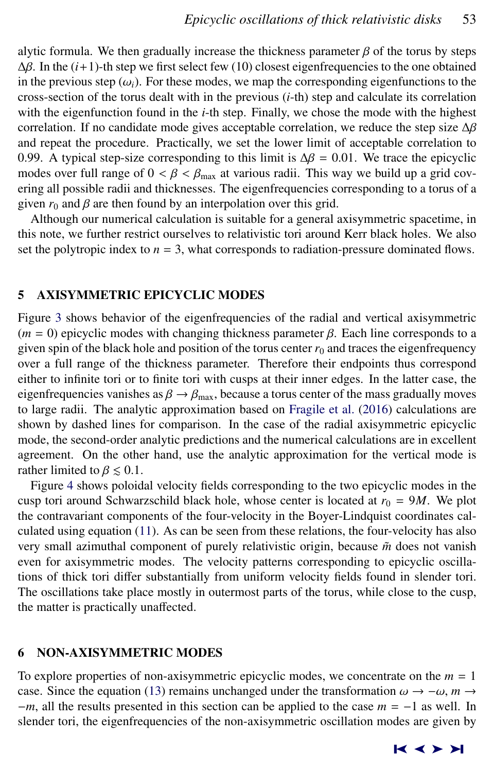<span id="page-6-0"></span>alytic formula. We then gradually increase the thickness parameter  $\beta$  of the torus by steps  $Δβ$ . In the  $(i+1)$ -th step we first select few (10) closest eigenfrequencies to the one obtained in the previous step  $(\omega_i)$ . For these modes, we map the corresponding eigenfunctions to the cross-section of the torus dealt with in the previous (*i*-th) step and calculate its correlation with the eigenfunction found in the *i*-th step. Finally, we chose the mode with the highest correlation. If no candidate mode gives acceptable correlation, we reduce the step size <sup>∆</sup>β and repeat the procedure. Practically, we set the lower limit of acceptable correlation to 0.99. A typical step-size corresponding to this limit is  $\Delta \beta = 0.01$ . We trace the epicyclic modes over full range of  $0 < \beta < \beta_{\text{max}}$  at various radii. This way we build up a grid covering all possible radii and thicknesses. The eigenfrequencies corresponding to a torus of a given  $r_0$  and  $\beta$  are then found by an interpolation over this grid.

Although our numerical calculation is suitable for a general axisymmetric spacetime, in this note, we further restrict ourselves to relativistic tori around Kerr black holes. We also set the polytropic index to  $n = 3$ , what corresponds to radiation-pressure dominated flows.

## 5 AXISYMMETRIC EPICYCLIC MODES

Figure [3](#page-7-0) shows behavior of the eigenfrequencies of the radial and vertical axisymmetric  $(m = 0)$  epicyclic modes with changing thickness parameter  $\beta$ . Each line corresponds to a given spin of the black hole and position of the torus center  $r_0$  and traces the eigenfrequency over a full range of the thickness parameter. Therefore their endpoints thus correspond either to infinite tori or to finite tori with cusps at their inner edges. In the latter case, the eigenfrequencies vanishes as  $\beta \rightarrow \beta_{\text{max}}$ , because a torus center of the mass gradually moves to large radii. The analytic approximation based on [Fragile et al.](#page-12-0) [\(2016\)](#page-12-0) calculations are shown by dashed lines for comparison. In the case of the radial axisymmetric epicyclic mode, the second-order analytic predictions and the numerical calculations are in excellent agreement. On the other hand, use the analytic approximation for the vertical mode is rather limited to  $\beta \leq 0.1$ .

Figure [4](#page-7-0) shows poloidal velocity fields corresponding to the two epicyclic modes in the cusp tori around Schwarzschild black hole, whose center is located at  $r_0 = 9M$ . We plot the contravariant components of the four-velocity in the Boyer-Lindquist coordinates calculated using equation [\(11\)](#page-3-0). As can be seen from these relations, the four-velocity has also very small azimuthal component of purely relativistic origin, because  $\tilde{m}$  does not vanish even for axisymmetric modes. The velocity patterns corresponding to epicyclic oscillations of thick tori differ substantially from uniform velocity fields found in slender tori. The oscillations take place mostly in outermost parts of the torus, while close to the cusp, the matter is practically unaffected.

## 6 NON-AXISYMMETRIC MODES

To explore properties of non-axisymmetric epicyclic modes, we concentrate on the  $m = 1$ case. Since the equation [\(13\)](#page-4-0) remains unchanged under the transformation  $\omega \to -\omega$ ,  $m \to$ −*m*, all the results presented in this section can be applied to the case *m* = −1 as well. In slender tori, the eigenfrequencies of the non-axisymmetric oscillation modes are given by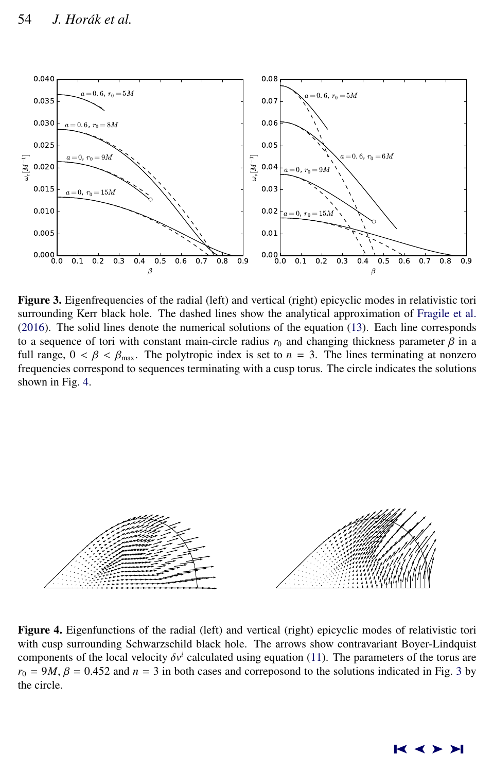<span id="page-7-0"></span>

Figure 3. Eigenfrequencies of the radial (left) and vertical (right) epicyclic modes in relativistic tori surrounding Kerr black hole. The dashed lines show the analytical approximation of [Fragile et al.](#page-12-0) [\(2016\)](#page-12-0). The solid lines denote the numerical solutions of the equation [\(13\)](#page-4-0). Each line corresponds to a sequence of tori with constant main-circle radius  $r_0$  and changing thickness parameter  $\beta$  in a full range,  $0 < \beta < \beta_{\text{max}}$ . The polytropic index is set to  $n = 3$ . The lines terminating at nonzero frequencies correspond to sequences terminating with a cusp torus. The circle indicates the solutions shown in Fig. 4.



Figure 4. Eigenfunctions of the radial (left) and vertical (right) epicyclic modes of relativistic tori with cusp surrounding Schwarzschild black hole. The arrows show contravariant Boyer-Lindquist components of the local velocity  $\delta v^i$  calculated using equation [\(11\)](#page-3-0). The parameters of the torus are  $r_0 = 9M$ ,  $B = 0.452$  and  $n = 3$  in both cases and correposond to the solutions indicated in Fig. 3 by  $r_0 = 9M$ ,  $\beta = 0.452$  and  $n = 3$  in both cases and correposond to the solutions indicated in Fig. 3 by the circle.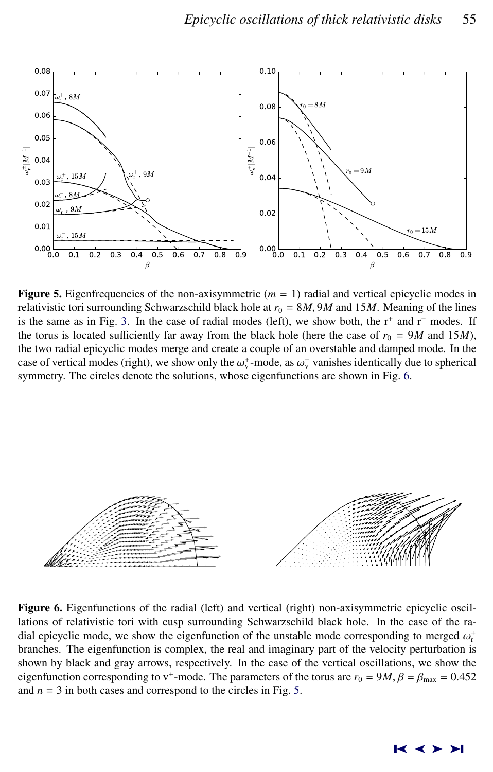<span id="page-8-0"></span>

**Figure 5.** Eigenfrequencies of the non-axisymmetric  $(m = 1)$  radial and vertical epicyclic modes in relativistic tori surrounding Schwarzschild black hole at  $r_0 = 8M$ , 9*M* and 15*M*. Meaning of the lines is the same as in Fig. [3.](#page-7-0) In the case of radial modes (left), we show both, the r<sup>+</sup> and r<sup>−</sup> modes. If the torus is located sufficiently far away from the black hole (here the case of  $r_0 = 9M$  and 15*M*), the two radial epicyclic modes merge and create a couple of an overstable and damped mode. In the case of vertical modes (right), we show only the  $\omega_{\nu}^{+}$ -mode, as  $\omega_{\nu}^{-}$  vanishes identically due to spherical<br>symmetry. The circles denote the solutions, whose eigenfunctions are shown in Fig. 6. symmetry. The circles denote the solutions, whose eigenfunctions are shown in Fig. 6.



Figure 6. Eigenfunctions of the radial (left) and vertical (right) non-axisymmetric epicyclic oscillations of relativistic tori with cusp surrounding Schwarzschild black hole. In the case of the radial epicyclic mode, we show the eigenfunction of the unstable mode corresponding to merged  $\omega_r^{\pm}$ <br>branches. The eigenfunction is complex, the real and imaginary part of the velocity perturbation is branches. The eigenfunction is complex, the real and imaginary part of the velocity perturbation is shown by black and gray arrows, respectively. In the case of the vertical oscillations, we show the eigenfunction corresponding to v<sup>+</sup>-mode. The parameters of the torus are  $r_0 = 9M$ ,  $\beta = \beta_{\text{max}} = 0.452$ <br>and  $n = 3$  in both cases and correspond to the circles in Fig. 5. and  $n = 3$  in both cases and correspond to the circles in Fig. 5.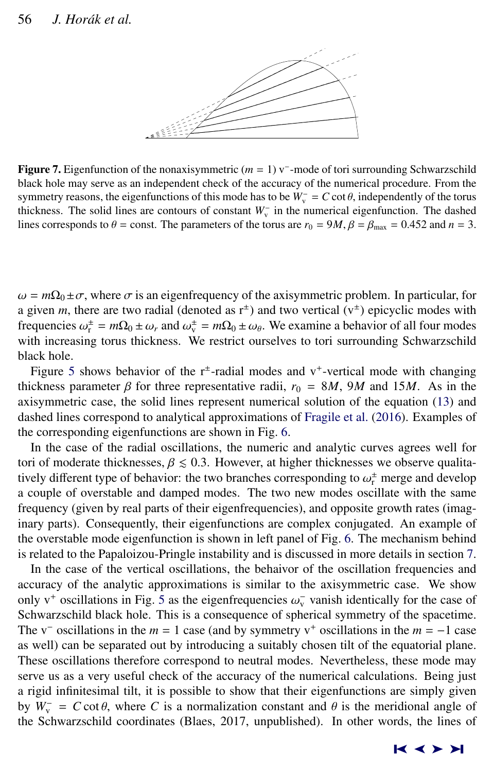<span id="page-9-0"></span>

Figure 7. Eigenfunction of the nonaxisymmetric (*m* = 1) v<sup>−</sup> -mode of tori surrounding Schwarzschild black hole may serve as an independent check of the accuracy of the numerical procedure. From the symmetry reasons, the eigenfunctions of this mode has to be  $W_{\nu}^- = C \cot \theta$ , independently of the torus thickness. The solid lines are contours of constant  $W^-$  in the numerical eigenfunction. The dashed thickness. The solid lines are contours of constant  $W_{\nu}^-$  in the numerical eigenfunction. The dashed lines corresponds to  $\theta$  = const. The parameters of the torus are  $r_0 = 9M$ ,  $\beta = \beta_{\text{max}} = 0.452$  and  $n = 3$ .

 $\omega = m\Omega_0 \pm \sigma$ , where  $\sigma$  is an eigenfrequency of the axisymmetric problem. In particular, for a given *m*, there are two radial (denoted as  $r^{\pm}$ ) and two vertical ( $v^{\pm}$ ) epicyclic modes with frequencies  $\omega_{\rm r}^{\pm} = m\Omega_0 \pm \omega_r$  and  $\omega_{\rm v}^{\pm} = m\Omega_0 \pm \omega_\theta$ . We examine a behavior of all four modes with increasing torus thickness. We restrict ourselves to tori surrounding Schwarzschild with increasing torus thickness. We restrict ourselves to tori surrounding Schwarzschild black hole.

Figure [5](#page-8-0) shows behavior of the  $r^{\pm}$ -radial modes and v<sup>+</sup>-vertical mode with changing thickness parameter  $\beta$  for three representative radii,  $r_0 = 8M$ , 9*M* and 15*M*. As in the axisymmetric case, the solid lines represent numerical solution of the equation [\(13\)](#page-4-0) and dashed lines correspond to analytical approximations of [Fragile et al.](#page-12-0) [\(2016\)](#page-12-0). Examples of the corresponding eigenfunctions are shown in Fig. [6.](#page-8-0)

In the case of the radial oscillations, the numeric and analytic curves agrees well for tori of moderate thicknesses,  $\beta \leq 0.3$ . However, at higher thicknesses we observe qualitatively different type of behavior: the two branches corresponding to  $\omega_r^{\pm}$  merge and develop a couple of overstable and damped modes. The two new modes oscillate with the same frequency (given by real parts of their eigenfrequencies), and opposite growth rates (imaginary parts). Consequently, their eigenfunctions are complex conjugated. An example of the overstable mode eigenfunction is shown in left panel of Fig. [6.](#page-8-0) The mechanism behind is related to the Papaloizou-Pringle instability and is discussed in more details in section [7.](#page-10-0)

In the case of the vertical oscillations, the behaivor of the oscillation frequencies and accuracy of the analytic approximations is similar to the axisymmetric case. We show only  $v^+$  oscillations in Fig. [5](#page-8-0) as the eigenfrequencies  $\omega_v^-$  vanish identically for the case of Schwarzschild black hole. This is a consequence of spherical symmetry of the spacetime Schwarzschild black hole. This is a consequence of spherical symmetry of the spacetime. The v<sup>-</sup> oscillations in the  $m = 1$  case (and by symmetry v<sup>+</sup> oscillations in the  $m = -1$  case as well) can be separated out by introducing a suitably chosen tilt of the equatorial plane. These oscillations therefore correspond to neutral modes. Nevertheless, these mode may serve us as a very useful check of the accuracy of the numerical calculations. Being just a rigid infinitesimal tilt, it is possible to show that their eigenfunctions are simply given by  $W_{\text{v}} = C \cot \theta$ , where *C* is a normalization constant and  $\theta$  is the meridional angle of the Schwarzschild coordinates (Blaes 2017, unpublished). In other words, the lines of the Schwarzschild coordinates (Blaes, 2017, unpublished). In other words, the lines of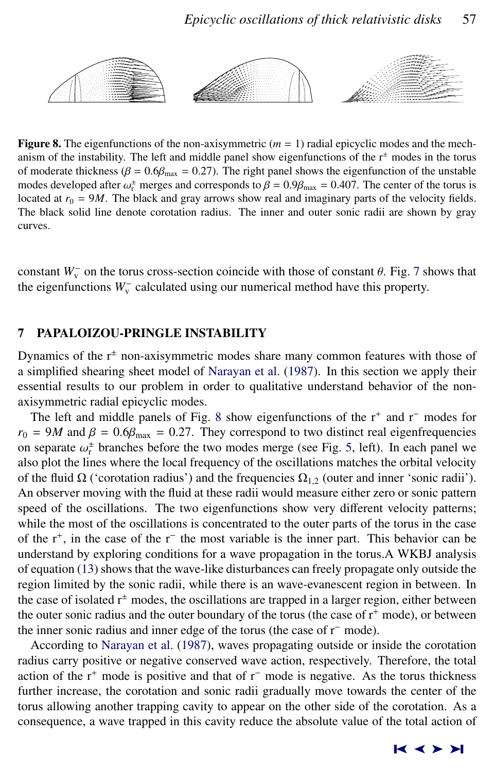<span id="page-10-0"></span>

**Figure 8.** The eigenfunctions of the non-axisymmetric  $(m = 1)$  radial epicyclic modes and the mechanism of the instability. The left and middle panel show eigenfunctions of the  $r^{\pm}$  modes in the torus of moderate thickness ( $\beta = 0.6\beta_{\text{max}} = 0.27$ ). The right panel shows the eigenfunction of the unstable modes developed after  $\omega_r^{\pm}$  merges and corresponds to  $\beta = 0.9\beta_{\text{max}} = 0.407$ . The center of the torus is<br>located at  $r_c = 9M$ . The black and gray arrows show real and imaginary parts of the velocity fields located at  $r_0 = 9M$ . The black and gray arrows show real and imaginary parts of the velocity fields. The black solid line denote corotation radius. The inner and outer sonic radii are shown by gray curves.

constant  $W_{\nu}^-$  on the torus cross-section coincide with those of constant  $\theta$ . Fig. [7](#page-9-0) shows that the eigenfunctions  $W_{\nu}^-$  calculated using our numerical method have this property the eigenfunctions W<sub>v</sub> calculated using our numerical method have this property.

### 7 PAPALOIZOU-PRINGLE INSTABILITY

Dynamics of the  $r^{\pm}$  non-axisymmetric modes share many common features with those of a simplified shearing sheet model of [Narayan et al.](#page-12-0) [\(1987\)](#page-12-0). In this section we apply their essential results to our problem in order to qualitative understand behavior of the nonaxisymmetric radial epicyclic modes.

The left and middle panels of Fig. 8 show eigenfunctions of the r<sup>+</sup> and r<sup>−</sup> modes for  $r_0 = 9M$  and  $\beta = 0.6\beta_{\text{max}} = 0.27$ . They correspond to two distinct real eigenfrequencies on separate  $\omega_{\text{r}}^{\pm}$  branches before the two modes merge (see Fig. [5,](#page-8-0) left). In each panel we<br>also plot the lines where the local frequency of the oscillations matches the orbital velocity also plot the lines where the local frequency of the oscillations matches the orbital velocity of the fluid  $\Omega$  ('corotation radius') and the frequencies  $\Omega_{1,2}$  (outer and inner 'sonic radii'). An observer moving with the fluid at these radii would measure either zero or sonic pattern speed of the oscillations. The two eigenfunctions show very different velocity patterns; while the most of the oscillations is concentrated to the outer parts of the torus in the case of the r<sup>+</sup>, in the case of the r<sup>−</sup> the most variable is the inner part. This behavior can be understand by exploring conditions for a wave propagation in the torus.A WKBJ analysis of equation [\(13\)](#page-4-0) shows that the wave-like disturbances can freely propagate only outside the region limited by the sonic radii, while there is an wave-evanescent region in between. In the case of isolated  $r^{\pm}$  modes, the oscillations are trapped in a larger region, either between the outer sonic radius and the outer boundary of the torus (the case of  $r^+$  mode), or between the inner sonic radius and inner edge of the torus (the case of r<sup>−</sup> mode).

According to [Narayan et al.](#page-12-0) [\(1987\)](#page-12-0), waves propagating outside or inside the corotation radius carry positive or negative conserved wave action, respectively. Therefore, the total action of the r<sup>+</sup> mode is positive and that of r<sup>−</sup> mode is negative. As the torus thickness further increase, the corotation and sonic radii gradually move towards the center of the torus allowing another trapping cavity to appear on the other side of the corotation. As a consequence, a wave trapped in this cavity reduce the absolute value of the total action of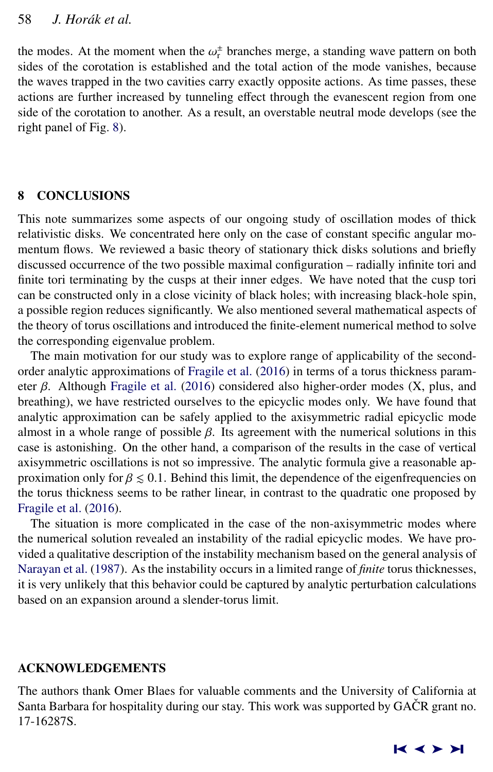<span id="page-11-0"></span>the modes. At the moment when the  $\omega_r^{\pm}$  branches merge, a standing wave pattern on both sides of the corotation is established and the total action of the mode vanishes, because sides of the corotation is established and the total action of the mode vanishes, because the waves trapped in the two cavities carry exactly opposite actions. As time passes, these actions are further increased by tunneling effect through the evanescent region from one side of the corotation to another. As a result, an overstable neutral mode develops (see the right panel of Fig. [8\)](#page-10-0).

## 8 CONCLUSIONS

This note summarizes some aspects of our ongoing study of oscillation modes of thick relativistic disks. We concentrated here only on the case of constant specific angular momentum flows. We reviewed a basic theory of stationary thick disks solutions and briefly discussed occurrence of the two possible maximal configuration – radially infinite tori and finite tori terminating by the cusps at their inner edges. We have noted that the cusp tori can be constructed only in a close vicinity of black holes; with increasing black-hole spin, a possible region reduces significantly. We also mentioned several mathematical aspects of the theory of torus oscillations and introduced the finite-element numerical method to solve the corresponding eigenvalue problem.

The main motivation for our study was to explore range of applicability of the secondorder analytic approximations of [Fragile et al.](#page-12-0) [\(2016\)](#page-12-0) in terms of a torus thickness parameter  $\beta$ . Although [Fragile et al.](#page-12-0) [\(2016\)](#page-12-0) considered also higher-order modes (X, plus, and breathing), we have restricted ourselves to the epicyclic modes only. We have found that analytic approximation can be safely applied to the axisymmetric radial epicyclic mode almost in a whole range of possible  $\beta$ . Its agreement with the numerical solutions in this case is astonishing. On the other hand, a comparison of the results in the case of vertical axisymmetric oscillations is not so impressive. The analytic formula give a reasonable approximation only for  $\beta \leq 0.1$ . Behind this limit, the dependence of the eigenfrequencies on the torus thickness seems to be rather linear, in contrast to the quadratic one proposed by [Fragile et al.](#page-12-0) [\(2016\)](#page-12-0).

The situation is more complicated in the case of the non-axisymmetric modes where the numerical solution revealed an instability of the radial epicyclic modes. We have provided a qualitative description of the instability mechanism based on the general analysis of [Narayan et al.](#page-12-0) [\(1987\)](#page-12-0). As the instability occurs in a limited range of *finite* torus thicknesses, it is very unlikely that this behavior could be captured by analytic perturbation calculations based on an expansion around a slender-torus limit.

## ACKNOWLEDGEMENTS

The authors thank Omer Blaes for valuable comments and the University of California at Santa Barbara for hospitality during our stay. This work was supported by GAČR grant no. 17-16287S.